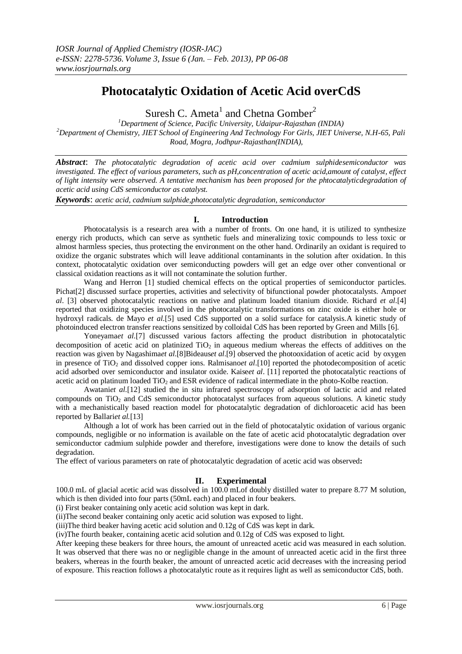# **Photocatalytic Oxidation of Acetic Acid overCdS**

Suresh C. Ameta<sup>1</sup> and Chetna Gomber<sup>2</sup>

*<sup>1</sup>Department of Science, Pacific University, Udaipur-Rajasthan (INDIA) <sup>2</sup>Department of Chemistry, JIET School of Engineering And Technology For Girls, JIET Universe, N.H-65, Pali Road, Mogra, Jodhpur-Rajasthan(INDIA),* 

*Abstract*: *The photocatalytic degradation of acetic acid over cadmium sulphidesemiconductor was investigated. The effect of various parameters, such as pH,concentration of acetic acid,amount of catalyst, effect of light intensity were observed. A tentative mechanism has been proposed for the phtocatalyticdegradation of acetic acid using CdS semiconductor as catalyst.*

*Keywords*: *acetic acid, cadmium sulphide,photocatalytic degradation, semiconductor*

# **I. Introduction**

Photocatalysis is a research area with a number of fronts. On one hand, it is utilized to synthesize energy rich products, which can serve as synthetic fuels and mineralizing toxic compounds to less toxic or almost harmless species, thus protecting the environment on the other hand. Ordinarily an oxidant is required to oxidize the organic substrates which will leave additional contaminants in the solution after oxidation. In this context, photocatalytic oxidation over semiconducting powders will get an edge over other conventional or classical oxidation reactions as it will not contaminate the solution further.

Wang and Herron [1] studied chemical effects on the optical properties of semiconductor particles. Pichat[2] discussed surface properties, activities and selectivity of bifunctional powder photocatalysts. Ampo*et al*. [3] observed photocatalytic reactions on native and platinum loaded titanium dioxide. Richard *et al*.[4] reported that oxidizing species involved in the photocatalytic transformations on zinc oxide is either hole or hydroxyl radicals. de Mayo *et al*.[5] used CdS supported on a solid surface for catalysis.A kinetic study of photoinduced electron transfer reactions sensitized by colloidal CdS has been reported by Green and Mills [6].

Yoneyama*et al.*[7] discussed various factors affecting the product distribution in photocatalytic decomposition of acetic acid on platinized  $TiO<sub>2</sub>$  in aqueous medium whereas the effects of additives on the reaction was given by Nagashima*et al*.[8]Bideaus*et al*.[9] observed the photooxidation of acetic acid by oxygen in presence of TiO<sub>2</sub> and dissolved copper ions. Ralmisano*et al.*[10] reported the photodecomposition of acetic acid adsorbed over semiconductor and insulator oxide. Kaise*et al*. [11] reported the photocatalytic reactions of acetic acid on platinum loaded TiO<sub>2</sub> and ESR evidence of radical intermediate in the photo-Kolbe reaction.

Awatani*et al*.[12] studied the in situ infrared spectroscopy of adsorption of lactic acid and related compounds on TiO<sub>2</sub> and CdS semiconductor photocatalyst surfaces from aqueous solutions. A kinetic study with a mechanistically based reaction model for photocatalytic degradation of dichloroacetic acid has been reported by Ballari*et al.*[13]

Although a lot of work has been carried out in the field of photocatalytic oxidation of various organic compounds, negligible or no information is available on the fate of acetic acid photocatalytic degradation over semiconductor cadmium sulphide powder and therefore, investigations were done to know the details of such degradation.

The effect of various parameters on rate of photocatalytic degradation of acetic acid was observed**:**

# **II. Experimental**

100.0 mL of glacial acetic acid was dissolved in 100.0 mLof doubly distilled water to prepare 8.77 M solution, which is then divided into four parts (50mL each) and placed in four beakers.

(i) First beaker containing only acetic acid solution was kept in dark.

(ii)The second beaker containing only acetic acid solution was exposed to light.

(iii)The third beaker having acetic acid solution and 0.12g of CdS was kept in dark.

(iv)The fourth beaker, containing acetic acid solution and 0.12g of CdS was exposed to light.

After keeping these beakers for three hours, the amount of unreacted acetic acid was measured in each solution. It was observed that there was no or negligible change in the amount of unreacted acetic acid in the first three beakers, whereas in the fourth beaker, the amount of unreacted acetic acid decreases with the increasing period of exposure. This reaction follows a photocatalytic route as it requires light as well as semiconductor CdS, both.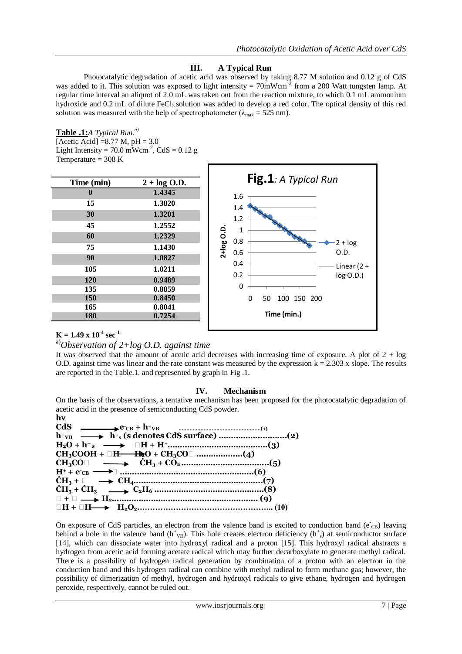# **III. A Typical Run**

Photocatalytic degradation of acetic acid was observed by taking 8.77 M solution and 0.12 g of CdS was added to it. This solution was exposed to light intensity =  $70$ mWcm<sup>-2</sup> from a 200 Watt tungsten lamp. At regular time interval an aliquot of 2.0 mL was taken out from the reaction mixture, to which 0.1 mL ammonium hydroxide and 0.2 mL of dilute FeCl<sub>3</sub> solution was added to develop a red color. The optical density of this red solution was measured with the help of spectrophotometer ( $\lambda_{\text{max}} = 525 \text{ nm}$ ).

#### **Table .1:***A Typical Run.a)*

[Acetic Acid]  $= 8.77$  M,  $pH = 3.0$ Light Intensity =  $70.0 \text{ mWcm}^2$ , CdS =  $0.12 \text{ g}$ Temperature  $=$  308 K

| $2 + \log$ O.D.<br>1.4345<br>1.3820<br>1.3201<br>1.2552<br>1.2329<br>1.1430<br>1.0827<br>1.0211<br>0.9489<br>0.8859 | Fig.1: A Typical Run<br>1.6<br>1.4<br>1.2<br>2+log O.D.<br>1<br>0.8<br>$2 + log$<br>0.D.<br>0.6<br>0.4<br>Linear $(2 +$<br>0.2<br>log O.D.)<br>0 |
|---------------------------------------------------------------------------------------------------------------------|--------------------------------------------------------------------------------------------------------------------------------------------------|
| 0.8450<br>0.8041<br>0.7254                                                                                          | 100 150 200<br>0<br>50<br>Time (min.)                                                                                                            |
|                                                                                                                     |                                                                                                                                                  |

П

# $K = 1.49 \times 10^{-4} \text{ sec}^{-1}$

a)*Observation of 2+log O.D. against time*

It was observed that the amount of acetic acid decreases with increasing time of exposure. A plot of  $2 + \log$ O.D. against time was linear and the rate constant was measured by the expression  $k = 2.303$  x slope. The results are reported in the Table.1. and represented by graph in Fig .1.

#### **IV. Mechanism**

On the basis of the observations, a tentative mechanism has been proposed for the photocatalytic degradation of acetic acid in the presence of semiconducting CdS powder.



On exposure of CdS particles, an electron from the valence band is excited to conduction band (e cB) leaving behind a hole in the valence band  $(h<sup>+</sup><sub>VB</sub>)$ . This hole creates electron deficiency  $(h<sup>+</sup><sub>s</sub>)$  at semiconductor surface [14], which can dissociate water into hydroxyl radical and a proton [15]. This hydroxyl radical abstracts a hydrogen from acetic acid forming acetate radical which may further decarboxylate to generate methyl radical. There is a possibility of hydrogen radical generation by combination of a proton with an electron in the conduction band and this hydrogen radical can combine with methyl radical to form methane gas; however, the possibility of dimerization of methyl, hydrogen and hydroxyl radicals to give ethane, hydrogen and hydrogen peroxide, respectively, cannot be ruled out.